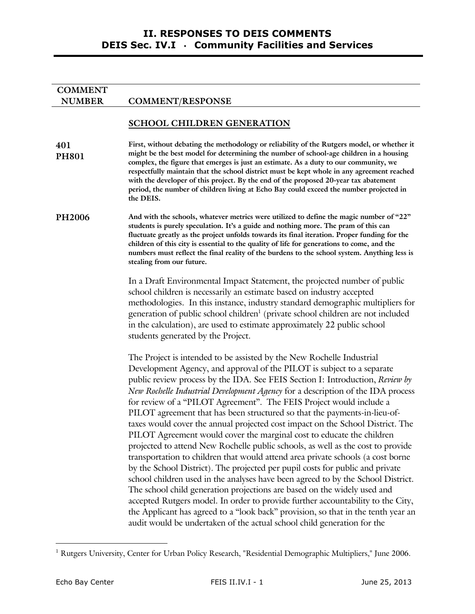# **NUMBER COMMENT/RESPONSE**

**COMMENT**

## **SCHOOL CHILDREN GENERATION**

**401 PH801 First, without debating the methodology or reliability of the Rutgers model, or whether it might be the best model for determining the number of school-age children in a housing complex, the figure that emerges is just an estimate. As a duty to our community, we respectfully maintain that the school district must be kept whole in any agreement reached with the developer of this project. By the end of the proposed 20-year tax abatement period, the number of children living at Echo Bay could exceed the number projected in the DEIS.** 

**PH2006 And with the schools, whatever metrics were utilized to define the magic number of "22" students is purely speculation. It's a guide and nothing more. The pram of this can fluctuate greatly as the project unfolds towards its final iteration. Proper funding for the children of this city is essential to the quality of life for generations to come, and the numbers must reflect the final reality of the burdens to the school system. Anything less is stealing from our future.** 

> In a Draft Environmental Impact Statement, the projected number of public school children is necessarily an estimate based on industry accepted methodologies. In this instance, industry standard demographic multipliers for generation of public school children<sup>1</sup> (private school children are not included in the calculation), are used to estimate approximately 22 public school students generated by the Project.

> The Project is intended to be assisted by the New Rochelle Industrial Development Agency, and approval of the PILOT is subject to a separate public review process by the IDA. See FEIS Section I: Introduction, *Review by New Rochelle Industrial Development Agency* for a description of the IDA process for review of a "PILOT Agreement". The FEIS Project would include a PILOT agreement that has been structured so that the payments-in-lieu-oftaxes would cover the annual projected cost impact on the School District. The PILOT Agreement would cover the marginal cost to educate the children projected to attend New Rochelle public schools, as well as the cost to provide transportation to children that would attend area private schools (a cost borne by the School District). The projected per pupil costs for public and private school children used in the analyses have been agreed to by the School District. The school child generation projections are based on the widely used and accepted Rutgers model. In order to provide further accountability to the City, the Applicant has agreed to a "look back" provision, so that in the tenth year an audit would be undertaken of the actual school child generation for the

-

<sup>&</sup>lt;sup>1</sup> Rutgers University, Center for Urban Policy Research, "Residential Demographic Multipliers," June 2006.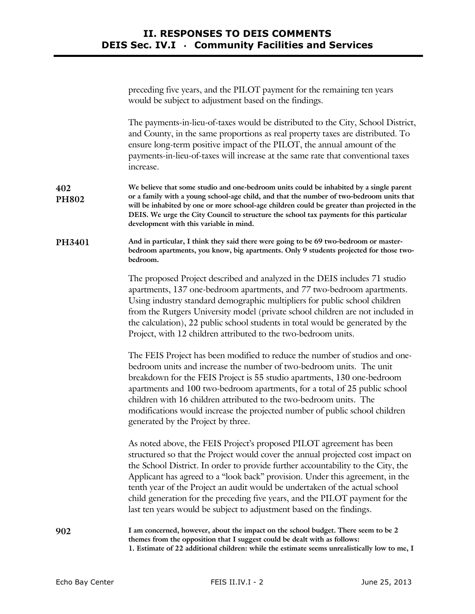|                     | preceding five years, and the PILOT payment for the remaining ten years<br>would be subject to adjustment based on the findings.                                                                                                                                                                                                                                                                                                                                                                                                                                   |
|---------------------|--------------------------------------------------------------------------------------------------------------------------------------------------------------------------------------------------------------------------------------------------------------------------------------------------------------------------------------------------------------------------------------------------------------------------------------------------------------------------------------------------------------------------------------------------------------------|
|                     | The payments-in-lieu-of-taxes would be distributed to the City, School District,<br>and County, in the same proportions as real property taxes are distributed. To<br>ensure long-term positive impact of the PILOT, the annual amount of the<br>payments-in-lieu-of-taxes will increase at the same rate that conventional taxes<br>increase.                                                                                                                                                                                                                     |
| 402<br><b>PH802</b> | We believe that some studio and one-bedroom units could be inhabited by a single parent<br>or a family with a young school-age child, and that the number of two-bedroom units that<br>will be inhabited by one or more school-age children could be greater than projected in the<br>DEIS. We urge the City Council to structure the school tax payments for this particular<br>development with this variable in mind.                                                                                                                                           |
| PH3401              | And in particular, I think they said there were going to be 69 two-bedroom or master-<br>bedroom apartments, you know, big apartments. Only 9 students projected for those two-<br>bedroom.                                                                                                                                                                                                                                                                                                                                                                        |
|                     | The proposed Project described and analyzed in the DEIS includes 71 studio<br>apartments, 137 one-bedroom apartments, and 77 two-bedroom apartments.<br>Using industry standard demographic multipliers for public school children<br>from the Rutgers University model (private school children are not included in<br>the calculation), 22 public school students in total would be generated by the<br>Project, with 12 children attributed to the two-bedroom units.                                                                                           |
|                     | The FEIS Project has been modified to reduce the number of studios and one-<br>bedroom units and increase the number of two-bedroom units. The unit<br>breakdown for the FEIS Project is 55 studio apartments, 130 one-bedroom<br>apartments and 100 two-bedroom apartments, for a total of 25 public school<br>children with 16 children attributed to the two-bedroom units. The<br>modifications would increase the projected number of public school children<br>generated by the Project by three.                                                            |
|                     | As noted above, the FEIS Project's proposed PILOT agreement has been<br>structured so that the Project would cover the annual projected cost impact on<br>the School District. In order to provide further accountability to the City, the<br>Applicant has agreed to a "look back" provision. Under this agreement, in the<br>tenth year of the Project an audit would be undertaken of the actual school<br>child generation for the preceding five years, and the PILOT payment for the<br>last ten years would be subject to adjustment based on the findings. |
| 902                 | I am concerned, however, about the impact on the school budget. There seem to be 2<br>themes from the opposition that I suggest could be dealt with as follows:<br>1. Estimate of 22 additional children: while the estimate seems unrealistically low to me, I                                                                                                                                                                                                                                                                                                    |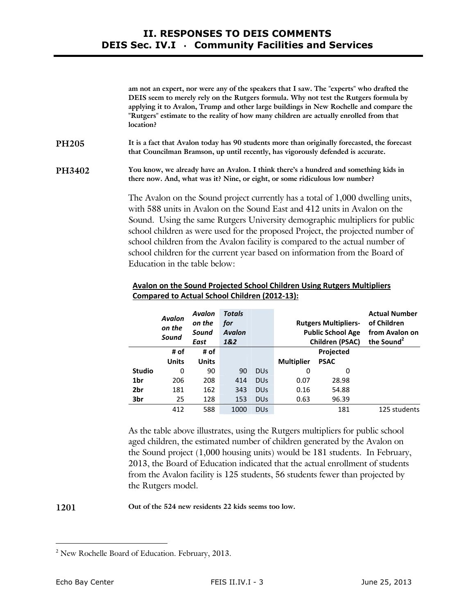**am not an expert, nor were any of the speakers that I saw. The "experts" who drafted the DEIS seem to merely rely on the Rutgers formula. Why not test the Rutgers formula by applying it to Avalon, Trump and other large buildings in New Rochelle and compare the "Rutgers" estimate to the reality of how many children are actually enrolled from that location?** 

**PH205 It is a fact that Avalon today has 90 students more than originally forecasted, the forecast that Councilman Bramson, up until recently, has vigorously defended is accurate.** 

**PH3402 You know, we already have an Avalon. I think there's a hundred and something kids in there now. And, what was it? Nine, or eight, or some ridiculous low number?** 

> The Avalon on the Sound project currently has a total of 1,000 dwelling units, with 588 units in Avalon on the Sound East and 412 units in Avalon on the Sound. Using the same Rutgers University demographic multipliers for public school children as were used for the proposed Project, the projected number of school children from the Avalon facility is compared to the actual number of school children for the current year based on information from the Board of Education in the table below:

|               | <b>Avalon</b><br>on the<br>Sound | <b>Avalon</b><br>on the<br>Sound<br>East | <b>Totals</b><br>for<br><b>Avalon</b><br>1&2 |                 |                   | <b>Rutgers Multipliers-</b><br><b>Public School Age</b><br><b>Children (PSAC)</b> | <b>Actual Number</b><br>of Children<br>from Avalon on<br>the Sound <sup>2</sup> |
|---------------|----------------------------------|------------------------------------------|----------------------------------------------|-----------------|-------------------|-----------------------------------------------------------------------------------|---------------------------------------------------------------------------------|
|               | # of                             | # of                                     |                                              |                 |                   | <b>Projected</b>                                                                  |                                                                                 |
|               | <b>Units</b>                     | <b>Units</b>                             |                                              |                 | <b>Multiplier</b> | <b>PSAC</b>                                                                       |                                                                                 |
| <b>Studio</b> | 0                                | 90                                       | 90                                           | DU <sub>S</sub> | 0                 | 0                                                                                 |                                                                                 |
| 1br           | 206                              | 208                                      | 414                                          | <b>DUS</b>      | 0.07              | 28.98                                                                             |                                                                                 |
| 2br           | 181                              | 162                                      | 343                                          | <b>DUS</b>      | 0.16              | 54.88                                                                             |                                                                                 |
| 3br           | 25                               | 128                                      | 153                                          | DU <sub>S</sub> | 0.63              | 96.39                                                                             |                                                                                 |
|               | 412                              | 588                                      | 1000                                         | DU <sub>S</sub> |                   | 181                                                                               | 125 students                                                                    |

## **Avalon on the Sound Projected School Children Using Rutgers Multipliers Compared to Actual School Children (2012-13):**

As the table above illustrates, using the Rutgers multipliers for public school aged children, the estimated number of children generated by the Avalon on the Sound project (1,000 housing units) would be 181 students. In February, 2013, the Board of Education indicated that the actual enrollment of students from the Avalon facility is 125 students, 56 students fewer than projected by the Rutgers model.

**1201 Out of the 524 new residents 22 kids seems too low.**

-

<sup>2</sup> New Rochelle Board of Education. February, 2013.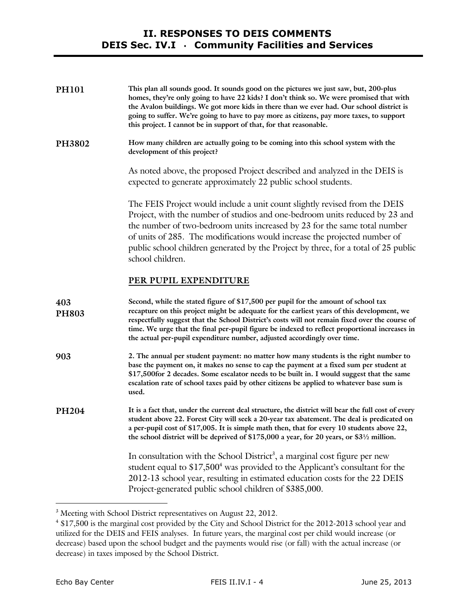| <b>PH101</b> | This plan all sounds good. It sounds good on the pictures we just saw, but, 200-plus<br>homes, they're only going to have 22 kids? I don't think so. We were promised that with<br>the Avalon buildings. We got more kids in there than we ever had. Our school district is<br>going to suffer. We're going to have to pay more as citizens, pay more taxes, to support<br>this project. I cannot be in support of that, for that reasonable.                   |
|--------------|-----------------------------------------------------------------------------------------------------------------------------------------------------------------------------------------------------------------------------------------------------------------------------------------------------------------------------------------------------------------------------------------------------------------------------------------------------------------|
| PH3802       | How many children are actually going to be coming into this school system with the<br>development of this project?                                                                                                                                                                                                                                                                                                                                              |
|              | As noted above, the proposed Project described and analyzed in the DEIS is<br>expected to generate approximately 22 public school students.                                                                                                                                                                                                                                                                                                                     |
|              | The FEIS Project would include a unit count slightly revised from the DEIS<br>Project, with the number of studios and one-bedroom units reduced by 23 and<br>the number of two-bedroom units increased by 23 for the same total number<br>of units of 285. The modifications would increase the projected number of<br>public school children generated by the Project by three, for a total of 25 public<br>school children.                                   |
|              | PER PUPIL EXPENDITURE                                                                                                                                                                                                                                                                                                                                                                                                                                           |
| 403<br>PH803 | Second, while the stated figure of \$17,500 per pupil for the amount of school tax<br>recapture on this project might be adequate for the earliest years of this development, we<br>respectfully suggest that the School District's costs will not remain fixed over the course of<br>time. We urge that the final per-pupil figure be indexed to reflect proportional increases in<br>the actual per-pupil expenditure number, adjusted accordingly over time. |
| 903          | 2. The annual per student payment: no matter how many students is the right number to<br>base the payment on, it makes no sense to cap the payment at a fixed sum per student at<br>\$17,500 for 2 decades. Some escalator needs to be built in. I would suggest that the same<br>escalation rate of school taxes paid by other citizens be applied to whatever base sum is<br>used.                                                                            |
| PH204        | It is a fact that, under the current deal structure, the district will bear the full cost of every<br>student above 22. Forest City will seek a 20-year tax abatement. The deal is predicated on<br>a per-pupil cost of \$17,005. It is simple math then, that for every 10 students above 22,<br>the school district will be deprived of \$175,000 a year, for 20 years, or \$31/2 million.                                                                    |
|              | In consultation with the School District <sup>3</sup> , a marginal cost figure per new<br>student equal to $$17,5004$ was provided to the Applicant's consultant for the<br>2012-13 school year, resulting in estimated education costs for the 22 DEIS<br>Project-generated public school children of \$385,000.                                                                                                                                               |
|              |                                                                                                                                                                                                                                                                                                                                                                                                                                                                 |

**EXECUTE:**<br><sup>3</sup> Meeting with School District representatives on August 22, 2012.

<sup>4</sup> \$17,500 is the marginal cost provided by the City and School District for the 2012-2013 school year and utilized for the DEIS and FEIS analyses. In future years, the marginal cost per child would increase (or decrease) based upon the school budget and the payments would rise (or fall) with the actual increase (or decrease) in taxes imposed by the School District.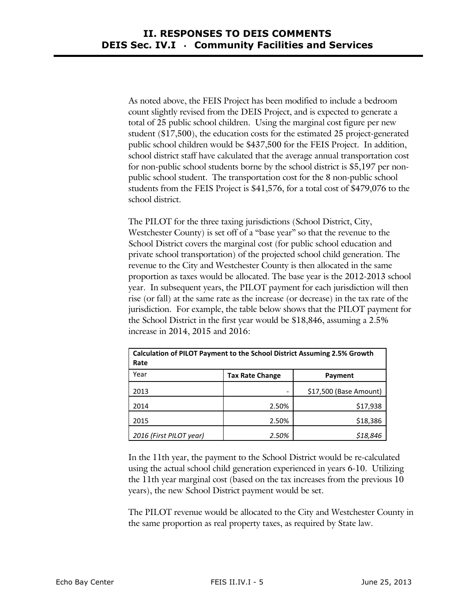As noted above, the FEIS Project has been modified to include a bedroom count slightly revised from the DEIS Project, and is expected to generate a total of 25 public school children. Using the marginal cost figure per new student (\$17,500), the education costs for the estimated 25 project-generated public school children would be \$437,500 for the FEIS Project. In addition, school district staff have calculated that the average annual transportation cost for non-public school students borne by the school district is \$5,197 per nonpublic school student. The transportation cost for the 8 non-public school students from the FEIS Project is \$41,576, for a total cost of \$479,076 to the school district.

The PILOT for the three taxing jurisdictions (School District, City, Westchester County) is set off of a "base year" so that the revenue to the School District covers the marginal cost (for public school education and private school transportation) of the projected school child generation. The revenue to the City and Westchester County is then allocated in the same proportion as taxes would be allocated. The base year is the 2012-2013 school year. In subsequent years, the PILOT payment for each jurisdiction will then rise (or fall) at the same rate as the increase (or decrease) in the tax rate of the jurisdiction. For example, the table below shows that the PILOT payment for the School District in the first year would be \$18,846, assuming a 2.5% increase in 2014, 2015 and 2016:

| <b>Calculation of PILOT Payment to the School District Assuming 2.5% Growth</b><br>Rate |                        |                        |  |  |  |  |
|-----------------------------------------------------------------------------------------|------------------------|------------------------|--|--|--|--|
| Year                                                                                    | <b>Tax Rate Change</b> | Payment                |  |  |  |  |
| 2013                                                                                    |                        | \$17,500 (Base Amount) |  |  |  |  |
| 2014                                                                                    | 2.50%                  | \$17,938               |  |  |  |  |
| 2015                                                                                    | 2.50%                  | \$18,386               |  |  |  |  |
| 2016 (First PILOT year)                                                                 | 2.50%                  | \$18,846               |  |  |  |  |

In the 11th year, the payment to the School District would be re-calculated using the actual school child generation experienced in years 6-10. Utilizing the 11th year marginal cost (based on the tax increases from the previous 10 years), the new School District payment would be set.

The PILOT revenue would be allocated to the City and Westchester County in the same proportion as real property taxes, as required by State law.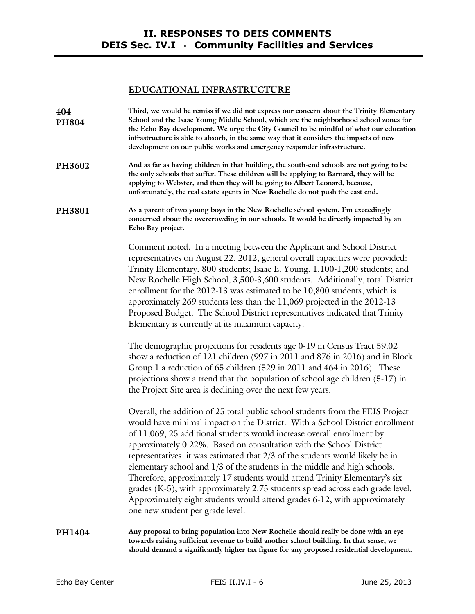## **EDUCATIONAL INFRASTRUCTURE**

| PH3602<br><b>PH3801</b> | And as far as having children in that building, the south-end schools are not going to be<br>the only schools that suffer. These children will be applying to Barnard, they will be<br>applying to Webster, and then they will be going to Albert Leonard, because,<br>unfortunately, the real estate agents in New Rochelle do not push the east end.<br>As a parent of two young boys in the New Rochelle school system, I'm exceedingly                                                                                                                                                                                                                                                                                                                     |
|-------------------------|----------------------------------------------------------------------------------------------------------------------------------------------------------------------------------------------------------------------------------------------------------------------------------------------------------------------------------------------------------------------------------------------------------------------------------------------------------------------------------------------------------------------------------------------------------------------------------------------------------------------------------------------------------------------------------------------------------------------------------------------------------------|
|                         | concerned about the overcrowding in our schools. It would be directly impacted by an<br>Echo Bay project.                                                                                                                                                                                                                                                                                                                                                                                                                                                                                                                                                                                                                                                      |
|                         | Comment noted. In a meeting between the Applicant and School District<br>representatives on August 22, 2012, general overall capacities were provided:<br>Trinity Elementary, 800 students; Isaac E. Young, 1,100-1,200 students; and<br>New Rochelle High School, 3,500-3,600 students. Additionally, total District<br>enrollment for the 2012-13 was estimated to be 10,800 students, which is<br>approximately 269 students less than the 11,069 projected in the 2012-13<br>Proposed Budget. The School District representatives indicated that Trinity<br>Elementary is currently at its maximum capacity.                                                                                                                                               |
|                         | The demographic projections for residents age 0-19 in Census Tract 59.02<br>show a reduction of 121 children (997 in 2011 and 876 in 2016) and in Block<br>Group 1 a reduction of 65 children (529 in 2011 and 464 in 2016). These<br>projections show a trend that the population of school age children (5-17) in<br>the Project Site area is declining over the next few years.                                                                                                                                                                                                                                                                                                                                                                             |
|                         | Overall, the addition of 25 total public school students from the FEIS Project<br>would have minimal impact on the District. With a School District enrollment<br>of 11,069, 25 additional students would increase overall enrollment by<br>approximately 0.22%. Based on consultation with the School District<br>representatives, it was estimated that 2/3 of the students would likely be in<br>elementary school and 1/3 of the students in the middle and high schools.<br>Therefore, approximately 17 students would attend Trinity Elementary's six<br>grades (K-5), with approximately 2.75 students spread across each grade level.<br>Approximately eight students would attend grades 6-12, with approximately<br>one new student per grade level. |
| PH1404                  | Any proposal to bring population into New Rochelle should really be done with an eye<br>towards raising sufficient revenue to build another school building. In that sense, we<br>should demand a significantly higher tax figure for any proposed residential development,                                                                                                                                                                                                                                                                                                                                                                                                                                                                                    |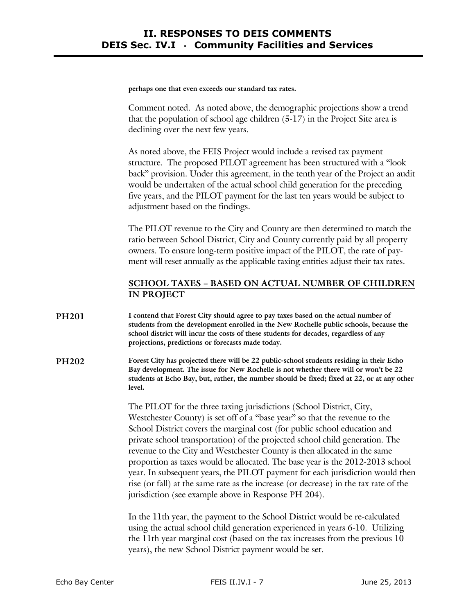**perhaps one that even exceeds our standard tax rates.**

Comment noted. As noted above, the demographic projections show a trend that the population of school age children (5-17) in the Project Site area is declining over the next few years.

As noted above, the FEIS Project would include a revised tax payment structure. The proposed PILOT agreement has been structured with a "look back" provision. Under this agreement, in the tenth year of the Project an audit would be undertaken of the actual school child generation for the preceding five years, and the PILOT payment for the last ten years would be subject to adjustment based on the findings.

The PILOT revenue to the City and County are then determined to match the ratio between School District, City and County currently paid by all property owners. To ensure long-term positive impact of the PILOT, the rate of payment will reset annually as the applicable taxing entities adjust their tax rates.

## **SCHOOL TAXES – BASED ON ACTUAL NUMBER OF CHILDREN IN PROJECT**

- **PH201 I contend that Forest City should agree to pay taxes based on the actual number of students from the development enrolled in the New Rochelle public schools, because the school district will incur the costs of these students for decades, regardless of any projections, predictions or forecasts made today.**
- **PH202 Forest City has projected there will be 22 public-school students residing in their Echo Bay development. The issue for New Rochelle is not whether there will or won't be 22 students at Echo Bay, but, rather, the number should be fixed; fixed at 22, or at any other level.**

The PILOT for the three taxing jurisdictions (School District, City, Westchester County) is set off of a "base year" so that the revenue to the School District covers the marginal cost (for public school education and private school transportation) of the projected school child generation. The revenue to the City and Westchester County is then allocated in the same proportion as taxes would be allocated. The base year is the 2012-2013 school year. In subsequent years, the PILOT payment for each jurisdiction would then rise (or fall) at the same rate as the increase (or decrease) in the tax rate of the jurisdiction (see example above in Response PH 204).

In the 11th year, the payment to the School District would be re-calculated using the actual school child generation experienced in years 6-10. Utilizing the 11th year marginal cost (based on the tax increases from the previous 10 years), the new School District payment would be set.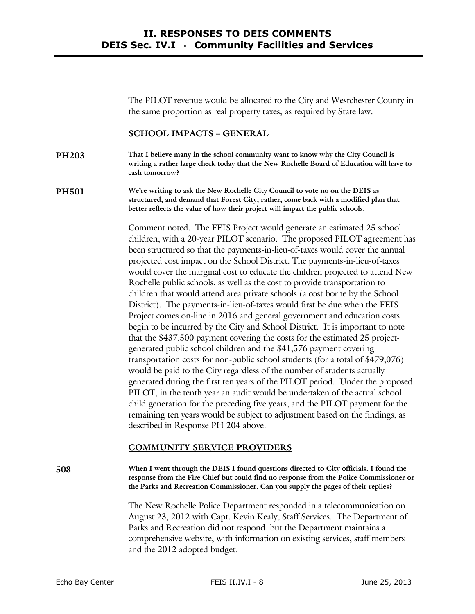The PILOT revenue would be allocated to the City and Westchester County in the same proportion as real property taxes, as required by State law.

## **SCHOOL IMPACTS – GENERAL**

**PH203 That I believe many in the school community want to know why the City Council is writing a rather large check today that the New Rochelle Board of Education will have to cash tomorrow?** 

**PH501 We're writing to ask the New Rochelle City Council to vote no on the DEIS as structured, and demand that Forest City, rather, come back with a modified plan that better reflects the value of how their project will impact the public schools.** 

> Comment noted. The FEIS Project would generate an estimated 25 school children, with a 20-year PILOT scenario. The proposed PILOT agreement has been structured so that the payments-in-lieu-of-taxes would cover the annual projected cost impact on the School District. The payments-in-lieu-of-taxes would cover the marginal cost to educate the children projected to attend New Rochelle public schools, as well as the cost to provide transportation to children that would attend area private schools (a cost borne by the School District). The payments-in-lieu-of-taxes would first be due when the FEIS Project comes on-line in 2016 and general government and education costs begin to be incurred by the City and School District. It is important to note that the \$437,500 payment covering the costs for the estimated 25 projectgenerated public school children and the \$41,576 payment covering transportation costs for non-public school students (for a total of \$479,076) would be paid to the City regardless of the number of students actually generated during the first ten years of the PILOT period. Under the proposed PILOT, in the tenth year an audit would be undertaken of the actual school child generation for the preceding five years, and the PILOT payment for the remaining ten years would be subject to adjustment based on the findings, as described in Response PH 204 above.

## **COMMUNITY SERVICE PROVIDERS**

**508 When I went through the DEIS I found questions directed to City officials. I found the response from the Fire Chief but could find no response from the Police Commissioner or the Parks and Recreation Commissioner. Can you supply the pages of their replies?** 

> The New Rochelle Police Department responded in a telecommunication on August 23, 2012 with Capt. Kevin Kealy, Staff Services. The Department of Parks and Recreation did not respond, but the Department maintains a comprehensive website, with information on existing services, staff members and the 2012 adopted budget.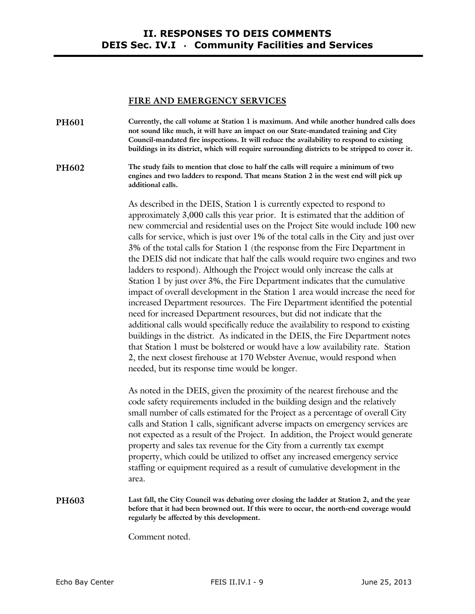#### **FIRE AND EMERGENCY SERVICES**

**PH601 Currently, the call volume at Station 1 is maximum. And while another hundred calls does not sound like much, it will have an impact on our State-mandated training and City Council-mandated fire inspections. It will reduce the availability to respond to existing buildings in its district, which will require surrounding districts to be stripped to cover it.** 

**PH602 The study fails to mention that close to half the calls will require a minimum of two engines and two ladders to respond. That means Station 2 in the west end will pick up additional calls.** 

> As described in the DEIS, Station 1 is currently expected to respond to approximately 3,000 calls this year prior. It is estimated that the addition of new commercial and residential uses on the Project Site would include 100 new calls for service, which is just over 1% of the total calls in the City and just over 3% of the total calls for Station 1 (the response from the Fire Department in the DEIS did not indicate that half the calls would require two engines and two ladders to respond). Although the Project would only increase the calls at Station 1 by just over 3%, the Fire Department indicates that the cumulative impact of overall development in the Station 1 area would increase the need for increased Department resources. The Fire Department identified the potential need for increased Department resources, but did not indicate that the additional calls would specifically reduce the availability to respond to existing buildings in the district. As indicated in the DEIS, the Fire Department notes that Station 1 must be bolstered or would have a low availability rate. Station 2, the next closest firehouse at 170 Webster Avenue, would respond when needed, but its response time would be longer.

As noted in the DEIS, given the proximity of the nearest firehouse and the code safety requirements included in the building design and the relatively small number of calls estimated for the Project as a percentage of overall City calls and Station 1 calls, significant adverse impacts on emergency services are not expected as a result of the Project. In addition, the Project would generate property and sales tax revenue for the City from a currently tax exempt property, which could be utilized to offset any increased emergency service staffing or equipment required as a result of cumulative development in the area.

#### **PH603 Last fall, the City Council was debating over closing the ladder at Station 2, and the year before that it had been browned out. If this were to occur, the north-end coverage would regularly be affected by this development.**

Comment noted.